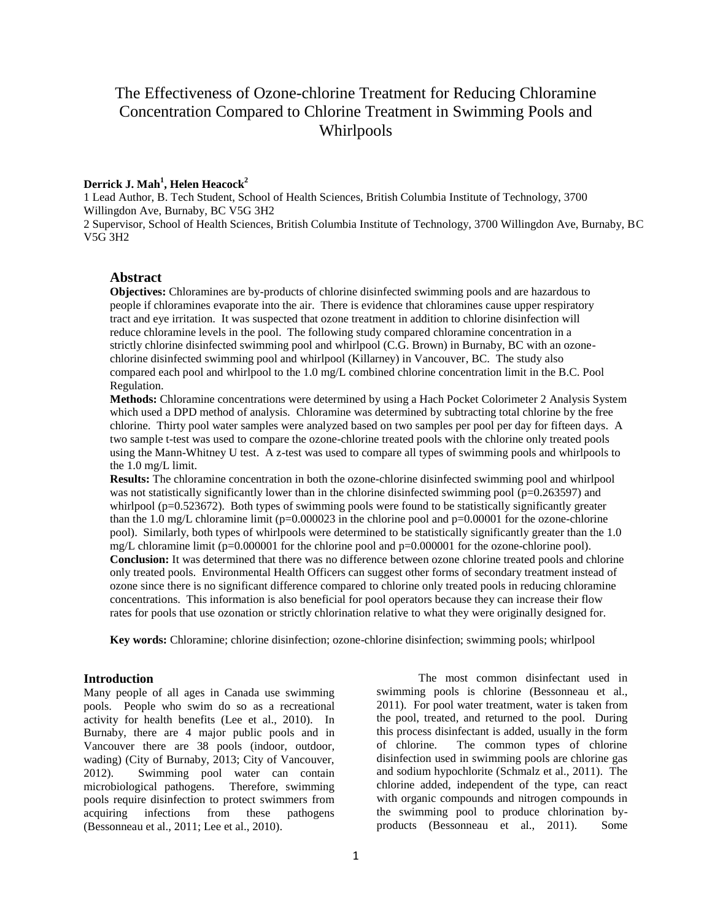# The Effectiveness of Ozone-chlorine Treatment for Reducing Chloramine Concentration Compared to Chlorine Treatment in Swimming Pools and Whirlpools

# **Derrick J. Mah<sup>1</sup> , Helen Heacock<sup>2</sup>**

1 Lead Author, B. Tech Student, School of Health Sciences, British Columbia Institute of Technology, 3700 Willingdon Ave, Burnaby, BC V5G 3H2

2 Supervisor, School of Health Sciences, British Columbia Institute of Technology, 3700 Willingdon Ave, Burnaby, BC V5G 3H2

## **Abstract**

**Objectives:** Chloramines are by-products of chlorine disinfected swimming pools and are hazardous to people if chloramines evaporate into the air. There is evidence that chloramines cause upper respiratory tract and eye irritation. It was suspected that ozone treatment in addition to chlorine disinfection will reduce chloramine levels in the pool. The following study compared chloramine concentration in a strictly chlorine disinfected swimming pool and whirlpool (C.G. Brown) in Burnaby, BC with an ozonechlorine disinfected swimming pool and whirlpool (Killarney) in Vancouver, BC. The study also compared each pool and whirlpool to the 1.0 mg/L combined chlorine concentration limit in the B.C. Pool Regulation.

**Methods:** Chloramine concentrations were determined by using a Hach Pocket Colorimeter 2 Analysis System which used a DPD method of analysis. Chloramine was determined by subtracting total chlorine by the free chlorine. Thirty pool water samples were analyzed based on two samples per pool per day for fifteen days. A two sample t-test was used to compare the ozone-chlorine treated pools with the chlorine only treated pools using the Mann-Whitney U test. A z-test was used to compare all types of swimming pools and whirlpools to the 1.0 mg/L limit.

**Results:** The chloramine concentration in both the ozone-chlorine disinfected swimming pool and whirlpool was not statistically significantly lower than in the chlorine disinfected swimming pool (p=0.263597) and whirlpool (p=0.523672). Both types of swimming pools were found to be statistically significantly greater than the 1.0 mg/L chloramine limit ( $p=0.000023$  in the chlorine pool and  $p=0.00001$  for the ozone-chlorine pool). Similarly, both types of whirlpools were determined to be statistically significantly greater than the 1.0 mg/L chloramine limit (p=0.000001 for the chlorine pool and p=0.000001 for the ozone-chlorine pool). **Conclusion:** It was determined that there was no difference between ozone chlorine treated pools and chlorine only treated pools. Environmental Health Officers can suggest other forms of secondary treatment instead of ozone since there is no significant difference compared to chlorine only treated pools in reducing chloramine concentrations. This information is also beneficial for pool operators because they can increase their flow rates for pools that use ozonation or strictly chlorination relative to what they were originally designed for.

**Key words:** Chloramine; chlorine disinfection; ozone-chlorine disinfection; swimming pools; whirlpool

### **Introduction**

Many people of all ages in Canada use swimming pools. People who swim do so as a recreational activity for health benefits (Lee et al., 2010). In Burnaby, there are 4 major public pools and in Vancouver there are 38 pools (indoor, outdoor, wading) (City of Burnaby, 2013; City of Vancouver, 2012). Swimming pool water can contain microbiological pathogens. Therefore, swimming pools require disinfection to protect swimmers from acquiring infections from these pathogens (Bessonneau et al., 2011; Lee et al., 2010).

The most common disinfectant used in swimming pools is chlorine (Bessonneau et al., 2011). For pool water treatment, water is taken from the pool, treated, and returned to the pool. During this process disinfectant is added, usually in the form of chlorine. The common types of chlorine disinfection used in swimming pools are chlorine gas and sodium hypochlorite (Schmalz et al., 2011). The chlorine added, independent of the type, can react with organic compounds and nitrogen compounds in the swimming pool to produce chlorination byproducts (Bessonneau et al., 2011). Some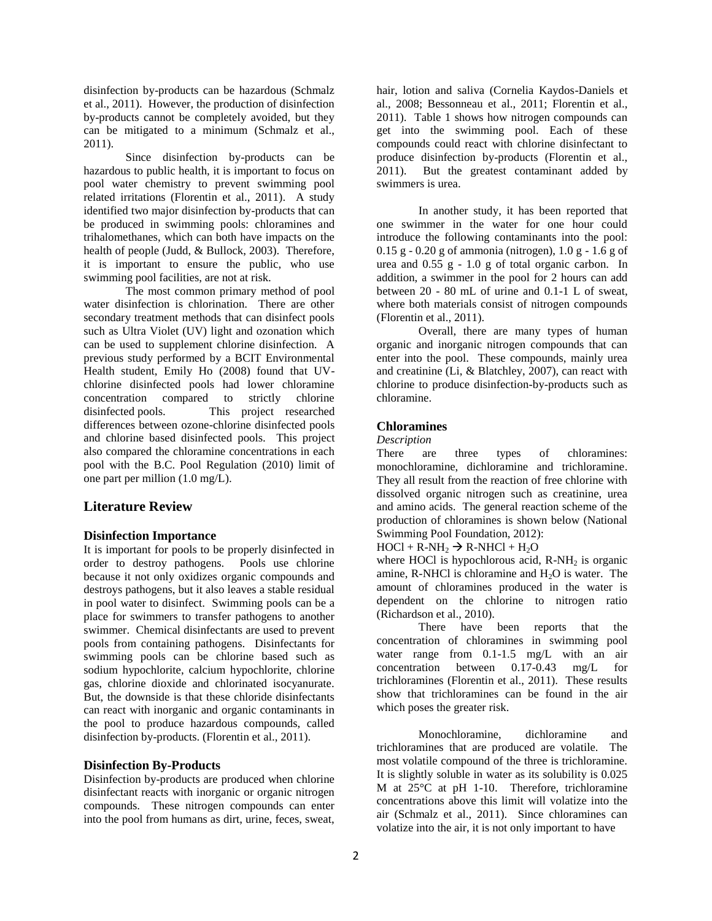disinfection by-products can be hazardous (Schmalz et al., 2011). However, the production of disinfection by-products cannot be completely avoided, but they can be mitigated to a minimum (Schmalz et al., 2011).

Since disinfection by-products can be hazardous to public health, it is important to focus on pool water chemistry to prevent swimming pool related irritations (Florentin et al., 2011). A study identified two major disinfection by-products that can be produced in swimming pools: chloramines and trihalomethanes, which can both have impacts on the health of people (Judd, & Bullock, 2003). Therefore, it is important to ensure the public, who use swimming pool facilities, are not at risk.

The most common primary method of pool water disinfection is chlorination. There are other secondary treatment methods that can disinfect pools such as Ultra Violet (UV) light and ozonation which can be used to supplement chlorine disinfection. A previous study performed by a BCIT Environmental Health student, Emily Ho (2008) found that UVchlorine disinfected pools had lower chloramine concentration compared to strictly chlorine disinfected pools. This project researched differences between ozone-chlorine disinfected pools and chlorine based disinfected pools. This project also compared the chloramine concentrations in each pool with the B.C. Pool Regulation (2010) limit of one part per million (1.0 mg/L).

### **Literature Review**

#### **Disinfection Importance**

It is important for pools to be properly disinfected in order to destroy pathogens. Pools use chlorine because it not only oxidizes organic compounds and destroys pathogens, but it also leaves a stable residual in pool water to disinfect. Swimming pools can be a place for swimmers to transfer pathogens to another swimmer. Chemical disinfectants are used to prevent pools from containing pathogens. Disinfectants for swimming pools can be chlorine based such as sodium hypochlorite, calcium hypochlorite, chlorine gas, chlorine dioxide and chlorinated isocyanurate. But, the downside is that these chloride disinfectants can react with inorganic and organic contaminants in the pool to produce hazardous compounds, called disinfection by-products. (Florentin et al., 2011).

#### **Disinfection By-Products**

Disinfection by-products are produced when chlorine disinfectant reacts with inorganic or organic nitrogen compounds. These nitrogen compounds can enter into the pool from humans as dirt, urine, feces, sweat, hair, lotion and saliva (Cornelia Kaydos-Daniels et al., 2008; Bessonneau et al., 2011; Florentin et al., 2011). Table 1 shows how nitrogen compounds can get into the swimming pool. Each of these compounds could react with chlorine disinfectant to produce disinfection by-products (Florentin et al., 2011). But the greatest contaminant added by swimmers is urea.

In another study, it has been reported that one swimmer in the water for one hour could introduce the following contaminants into the pool:  $0.15$  g -  $0.20$  g of ammonia (nitrogen),  $1.0$  g -  $1.6$  g of urea and 0.55 g - 1.0 g of total organic carbon. In addition, a swimmer in the pool for 2 hours can add between 20 - 80 mL of urine and 0.1-1 L of sweat, where both materials consist of nitrogen compounds (Florentin et al., 2011).

Overall, there are many types of human organic and inorganic nitrogen compounds that can enter into the pool. These compounds, mainly urea and creatinine (Li, & Blatchley, 2007), can react with chlorine to produce disinfection-by-products such as chloramine.

#### **Chloramines**

*Description*

There are three types of chloramines: monochloramine, dichloramine and trichloramine. They all result from the reaction of free chlorine with dissolved organic nitrogen such as creatinine, urea and amino acids. The general reaction scheme of the production of chloramines is shown below (National Swimming Pool Foundation, 2012):

 $HOC1 + R-NH<sub>2</sub> \rightarrow R-NHCl + H<sub>2</sub>O$ 

where HOCl is hypochlorous acid,  $R-NH<sub>2</sub>$  is organic amine, R-NHCl is chloramine and  $H<sub>2</sub>O$  is water. The amount of chloramines produced in the water is dependent on the chlorine to nitrogen ratio (Richardson et al., 2010).

There have been reports that the concentration of chloramines in swimming pool water range from 0.1-1.5 mg/L with an air concentration between 0.17-0.43 mg/L for trichloramines (Florentin et al., 2011). These results show that trichloramines can be found in the air which poses the greater risk.

Monochloramine, dichloramine and trichloramines that are produced are volatile. The most volatile compound of the three is trichloramine. It is slightly soluble in water as its solubility is 0.025 M at 25°C at pH 1-10. Therefore, trichloramine concentrations above this limit will volatize into the air (Schmalz et al., 2011). Since chloramines can volatize into the air, it is not only important to have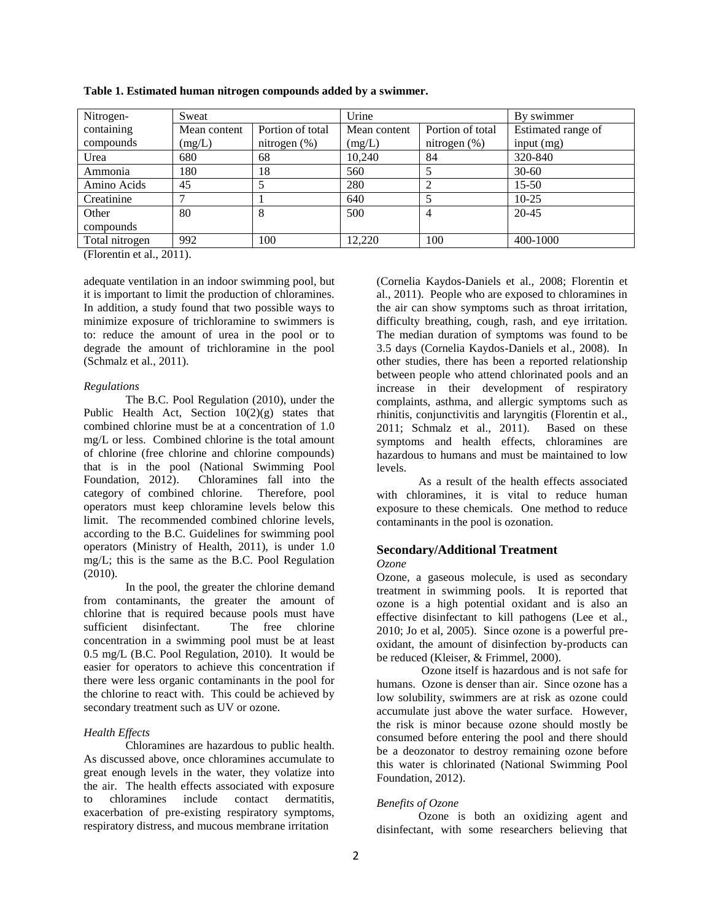| Nitrogen-      | Sweat        |                  | Urine        |                  | By swimmer         |  |
|----------------|--------------|------------------|--------------|------------------|--------------------|--|
| containing     | Mean content | Portion of total | Mean content | Portion of total | Estimated range of |  |
| compounds      | (mg/L)       | nitrogen $(\%)$  | (mg/L)       | nitrogen $(\%)$  | input $(mg)$       |  |
| Urea           | 680          | 68               | 10,240       | 84               | 320-840            |  |
| Ammonia        | 180          | 18               | 560          |                  | $30-60$            |  |
| Amino Acids    | 45           |                  | 280          |                  | $15 - 50$          |  |
| Creatinine     |              |                  | 640          |                  | $10 - 25$          |  |
| Other          | 80           | 8                | 500          |                  | $20 - 45$          |  |
| compounds      |              |                  |              |                  |                    |  |
| Total nitrogen | 992          | 100              | 12.220       | 100              | 400-1000           |  |

**Table 1. Estimated human nitrogen compounds added by a swimmer.**

(Florentin et al., 2011).

adequate ventilation in an indoor swimming pool, but it is important to limit the production of chloramines. In addition, a study found that two possible ways to minimize exposure of trichloramine to swimmers is to: reduce the amount of urea in the pool or to degrade the amount of trichloramine in the pool (Schmalz et al., 2011).

#### *Regulations*

The B.C. Pool Regulation (2010), under the Public Health Act, Section  $10(2)(g)$  states that combined chlorine must be at a concentration of 1.0 mg/L or less. Combined chlorine is the total amount of chlorine (free chlorine and chlorine compounds) that is in the pool (National Swimming Pool Foundation, 2012). Chloramines fall into the category of combined chlorine. Therefore, pool operators must keep chloramine levels below this limit. The recommended combined chlorine levels, according to the B.C. Guidelines for swimming pool operators (Ministry of Health, 2011), is under 1.0 mg/L; this is the same as the B.C. Pool Regulation (2010).

In the pool, the greater the chlorine demand from contaminants, the greater the amount of chlorine that is required because pools must have sufficient disinfectant. The free chlorine concentration in a swimming pool must be at least 0.5 mg/L (B.C. Pool Regulation, 2010). It would be easier for operators to achieve this concentration if there were less organic contaminants in the pool for the chlorine to react with. This could be achieved by secondary treatment such as UV or ozone.

### *Health Effects*

Chloramines are hazardous to public health. As discussed above, once chloramines accumulate to great enough levels in the water, they volatize into the air. The health effects associated with exposure to chloramines include contact dermatitis, exacerbation of pre-existing respiratory symptoms, respiratory distress, and mucous membrane irritation

(Cornelia Kaydos-Daniels et al., 2008; Florentin et al., 2011). People who are exposed to chloramines in the air can show symptoms such as throat irritation, difficulty breathing, cough, rash, and eye irritation. The median duration of symptoms was found to be 3.5 days (Cornelia Kaydos-Daniels et al., 2008). In other studies, there has been a reported relationship between people who attend chlorinated pools and an increase in their development of respiratory complaints, asthma, and allergic symptoms such as rhinitis, conjunctivitis and laryngitis (Florentin et al., 2011; Schmalz et al., 2011). Based on these symptoms and health effects, chloramines are hazardous to humans and must be maintained to low levels.

As a result of the health effects associated with chloramines, it is vital to reduce human exposure to these chemicals. One method to reduce contaminants in the pool is ozonation.

# **Secondary/Additional Treatment**

#### *Ozone*

Ozone, a gaseous molecule, is used as secondary treatment in swimming pools. It is reported that ozone is a high potential oxidant and is also an effective disinfectant to kill pathogens (Lee et al., 2010; Jo et al, 2005). Since ozone is a powerful preoxidant, the amount of disinfection by-products can be reduced (Kleiser, & Frimmel, 2000).

Ozone itself is hazardous and is not safe for humans. Ozone is denser than air. Since ozone has a low solubility, swimmers are at risk as ozone could accumulate just above the water surface. However, the risk is minor because ozone should mostly be consumed before entering the pool and there should be a deozonator to destroy remaining ozone before this water is chlorinated (National Swimming Pool Foundation, 2012).

### *Benefits of Ozone*

Ozone is both an oxidizing agent and disinfectant, with some researchers believing that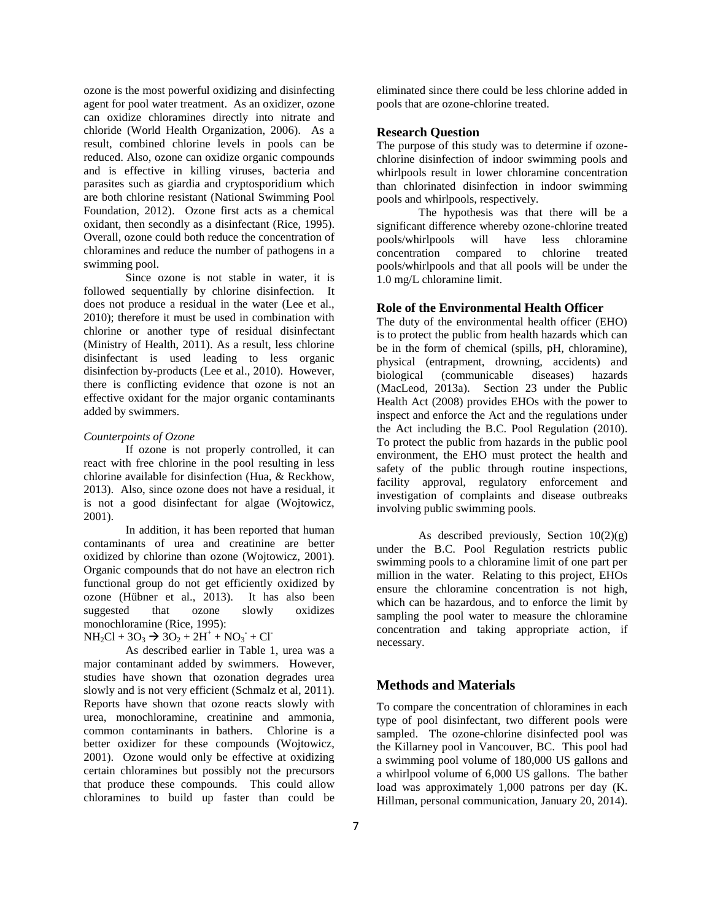ozone is the most powerful oxidizing and disinfecting agent for pool water treatment. As an oxidizer, ozone can oxidize chloramines directly into nitrate and chloride (World Health Organization, 2006). As a result, combined chlorine levels in pools can be reduced. Also, ozone can oxidize organic compounds and is effective in killing viruses, bacteria and parasites such as giardia and cryptosporidium which are both chlorine resistant (National Swimming Pool Foundation, 2012). Ozone first acts as a chemical oxidant, then secondly as a disinfectant (Rice, 1995). Overall, ozone could both reduce the concentration of chloramines and reduce the number of pathogens in a swimming pool.

Since ozone is not stable in water, it is followed sequentially by chlorine disinfection. It does not produce a residual in the water (Lee et al., 2010); therefore it must be used in combination with chlorine or another type of residual disinfectant (Ministry of Health, 2011). As a result, less chlorine disinfectant is used leading to less organic disinfection by-products (Lee et al., 2010). However, there is conflicting evidence that ozone is not an effective oxidant for the major organic contaminants added by swimmers.

#### *Counterpoints of Ozone*

If ozone is not properly controlled, it can react with free chlorine in the pool resulting in less chlorine available for disinfection (Hua, & Reckhow, 2013). Also, since ozone does not have a residual, it is not a good disinfectant for algae (Wojtowicz, 2001).

In addition, it has been reported that human contaminants of urea and creatinine are better oxidized by chlorine than ozone (Wojtowicz, 2001). Organic compounds that do not have an electron rich functional group do not get efficiently oxidized by ozone (Hübner et al., 2013). It has also been suggested that ozone slowly oxidizes monochloramine (Rice, 1995):

 $NH_2Cl + 3O_3 \rightarrow 3O_2 + 2H^+ + NO_3 + Cl^-$ 

As described earlier in Table 1, urea was a major contaminant added by swimmers. However, studies have shown that ozonation degrades urea slowly and is not very efficient (Schmalz et al, 2011). Reports have shown that ozone reacts slowly with urea, monochloramine, creatinine and ammonia, common contaminants in bathers. Chlorine is a better oxidizer for these compounds (Wojtowicz, 2001). Ozone would only be effective at oxidizing certain chloramines but possibly not the precursors that produce these compounds. This could allow chloramines to build up faster than could be eliminated since there could be less chlorine added in pools that are ozone-chlorine treated.

#### **Research Question**

The purpose of this study was to determine if ozonechlorine disinfection of indoor swimming pools and whirlpools result in lower chloramine concentration than chlorinated disinfection in indoor swimming pools and whirlpools, respectively.

The hypothesis was that there will be a significant difference whereby ozone-chlorine treated pools/whirlpools will have less chloramine concentration compared to chlorine treated pools/whirlpools and that all pools will be under the 1.0 mg/L chloramine limit.

### **Role of the Environmental Health Officer**

The duty of the environmental health officer (EHO) is to protect the public from health hazards which can be in the form of chemical (spills, pH, chloramine), physical (entrapment, drowning, accidents) and biological (communicable diseases) hazards (MacLeod, 2013a). Section 23 under the Public Health Act (2008) provides EHOs with the power to inspect and enforce the Act and the regulations under the Act including the B.C. Pool Regulation (2010). To protect the public from hazards in the public pool environment, the EHO must protect the health and safety of the public through routine inspections, facility approval, regulatory enforcement and investigation of complaints and disease outbreaks involving public swimming pools.

As described previously, Section  $10(2)(g)$ under the B.C. Pool Regulation restricts public swimming pools to a chloramine limit of one part per million in the water. Relating to this project, EHOs ensure the chloramine concentration is not high, which can be hazardous, and to enforce the limit by sampling the pool water to measure the chloramine concentration and taking appropriate action, if necessary.

# **Methods and Materials**

To compare the concentration of chloramines in each type of pool disinfectant, two different pools were sampled. The ozone-chlorine disinfected pool was the Killarney pool in Vancouver, BC. This pool had a swimming pool volume of 180,000 US gallons and a whirlpool volume of 6,000 US gallons. The bather load was approximately 1,000 patrons per day (K. Hillman, personal communication, January 20, 2014).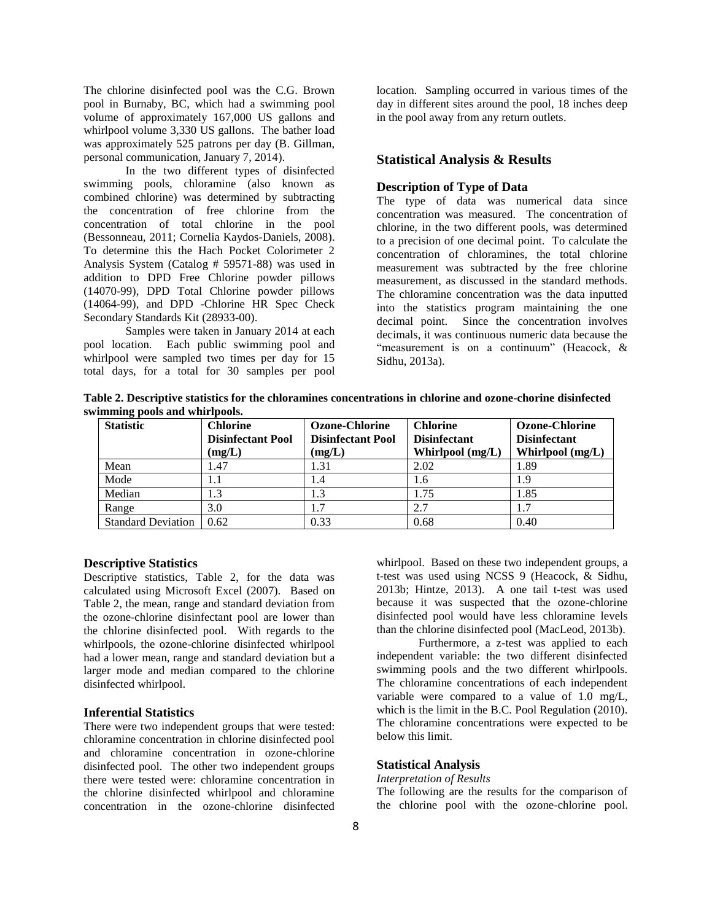The chlorine disinfected pool was the C.G. Brown pool in Burnaby, BC, which had a swimming pool volume of approximately 167,000 US gallons and whirlpool volume 3,330 US gallons. The bather load was approximately 525 patrons per day (B. Gillman, personal communication, January 7, 2014).

In the two different types of disinfected swimming pools, chloramine (also known as combined chlorine) was determined by subtracting the concentration of free chlorine from the concentration of total chlorine in the pool (Bessonneau, 2011; Cornelia Kaydos-Daniels, 2008). To determine this the Hach Pocket Colorimeter 2 Analysis System (Catalog # 59571-88) was used in addition to DPD Free Chlorine powder pillows (14070-99), DPD Total Chlorine powder pillows (14064-99), and DPD -Chlorine HR Spec Check Secondary Standards Kit (28933-00).

Samples were taken in January 2014 at each pool location. Each public swimming pool and whirlpool were sampled two times per day for 15 total days, for a total for 30 samples per pool

location. Sampling occurred in various times of the day in different sites around the pool, 18 inches deep in the pool away from any return outlets.

# **Statistical Analysis & Results**

### **Description of Type of Data**

The type of data was numerical data since concentration was measured. The concentration of chlorine, in the two different pools, was determined to a precision of one decimal point. To calculate the concentration of chloramines, the total chlorine measurement was subtracted by the free chlorine measurement, as discussed in the standard methods. The chloramine concentration was the data inputted into the statistics program maintaining the one decimal point. Since the concentration involves decimals, it was continuous numeric data because the "measurement is on a continuum" (Heacock, & Sidhu, 2013a).

**Table 2. Descriptive statistics for the chloramines concentrations in chlorine and ozone-chorine disinfected swimming pools and whirlpools.**

| ———————<br><b>Statistic</b> | <b>Chlorine</b><br><b>Disinfectant Pool</b> | <b>Ozone-Chlorine</b><br><b>Disinfectant Pool</b> | <b>Chlorine</b><br><b>Disinfectant</b> | <b>Ozone-Chlorine</b><br><b>Disinfectant</b> |
|-----------------------------|---------------------------------------------|---------------------------------------------------|----------------------------------------|----------------------------------------------|
|                             | (mg/L)                                      | (mg/L)                                            | Whirlpool (mg/L)                       | Whirlpool (mg/L)                             |
| Mean                        | 1.47                                        | 1.31                                              | 2.02                                   | 1.89                                         |
| Mode                        | 1.1                                         | 1.4                                               | 1.6                                    | 1.9                                          |
| Median                      | 1.3                                         | 1.3                                               | 1.75                                   | 1.85                                         |
| Range                       | 3.0                                         | 1.7                                               | 2.7                                    | 1.7                                          |
| <b>Standard Deviation</b>   | 0.62                                        | 0.33                                              | 0.68                                   | 0.40                                         |

#### **Descriptive Statistics**

Descriptive statistics, Table 2, for the data was calculated using Microsoft Excel (2007). Based on Table 2, the mean, range and standard deviation from the ozone-chlorine disinfectant pool are lower than the chlorine disinfected pool. With regards to the whirlpools, the ozone-chlorine disinfected whirlpool had a lower mean, range and standard deviation but a larger mode and median compared to the chlorine disinfected whirlpool.

#### **Inferential Statistics**

There were two independent groups that were tested: chloramine concentration in chlorine disinfected pool and chloramine concentration in ozone-chlorine disinfected pool. The other two independent groups there were tested were: chloramine concentration in the chlorine disinfected whirlpool and chloramine concentration in the ozone-chlorine disinfected whirlpool. Based on these two independent groups, a t-test was used using NCSS 9 (Heacock, & Sidhu, 2013b; Hintze, 2013). A one tail t-test was used because it was suspected that the ozone-chlorine disinfected pool would have less chloramine levels than the chlorine disinfected pool (MacLeod, 2013b).

Furthermore, a z-test was applied to each independent variable: the two different disinfected swimming pools and the two different whirlpools. The chloramine concentrations of each independent variable were compared to a value of 1.0 mg/L, which is the limit in the B.C. Pool Regulation (2010). The chloramine concentrations were expected to be below this limit.

#### **Statistical Analysis**

*Interpretation of Results*

The following are the results for the comparison of the chlorine pool with the ozone-chlorine pool.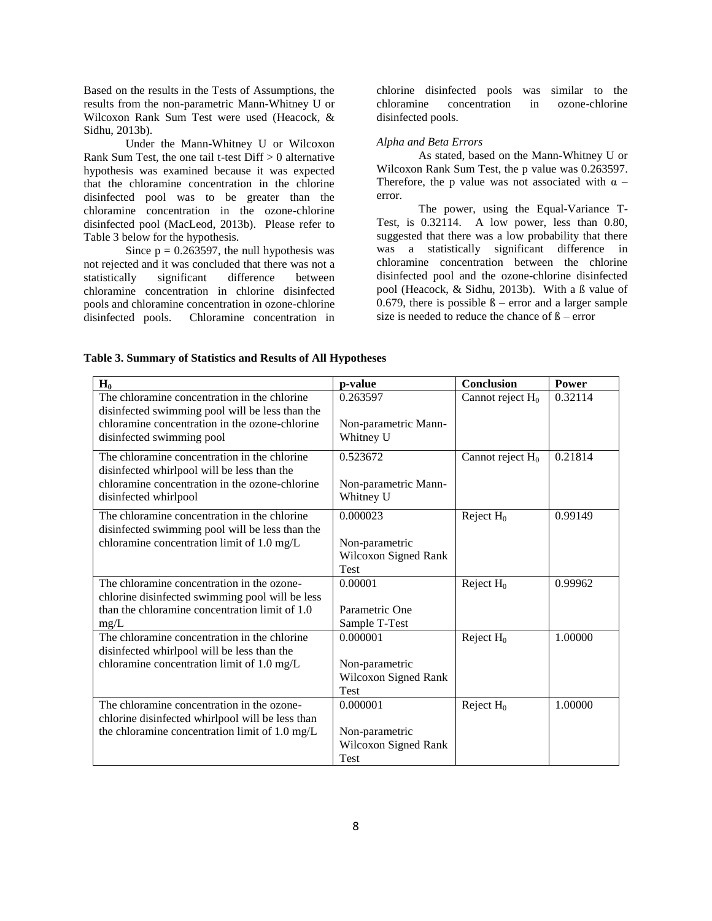Based on the results in the Tests of Assumptions, the results from the non-parametric Mann-Whitney U or Wilcoxon Rank Sum Test were used (Heacock, & Sidhu, 2013b).

Under the Mann-Whitney U or Wilcoxon Rank Sum Test, the one tail t-test Diff > 0 alternative hypothesis was examined because it was expected that the chloramine concentration in the chlorine disinfected pool was to be greater than the chloramine concentration in the ozone-chlorine disinfected pool (MacLeod, 2013b). Please refer to Table 3 below for the hypothesis.

Since  $p = 0.263597$ , the null hypothesis was not rejected and it was concluded that there was not a statistically significant difference between chloramine concentration in chlorine disinfected pools and chloramine concentration in ozone-chlorine disinfected pools. Chloramine concentration in

chlorine disinfected pools was similar to the chloramine concentration in ozone-chlorine disinfected pools.

#### *Alpha and Beta Errors*

As stated, based on the Mann-Whitney U or Wilcoxon Rank Sum Test, the p value was 0.263597. Therefore, the p value was not associated with  $\alpha$  – error.

The power, using the Equal-Variance T-Test, is 0.32114. A low power, less than 0.80, suggested that there was a low probability that there was a statistically significant difference in chloramine concentration between the chlorine disinfected pool and the ozone-chlorine disinfected pool (Heacock, & Sidhu, 2013b). With a ß value of 0.679, there is possible  $\beta$  – error and a larger sample size is needed to reduce the chance of  $\beta$  – error

| $H_0$                                                                                                                                         | p-value                                               | <b>Conclusion</b>   | Power   |
|-----------------------------------------------------------------------------------------------------------------------------------------------|-------------------------------------------------------|---------------------|---------|
| The chloramine concentration in the chlorine<br>disinfected swimming pool will be less than the                                               | 0.263597                                              | Cannot reject $H_0$ | 0.32114 |
| chloramine concentration in the ozone-chlorine<br>disinfected swimming pool                                                                   | Non-parametric Mann-<br>Whitney U                     |                     |         |
| The chloramine concentration in the chlorine<br>disinfected whirlpool will be less than the<br>chloramine concentration in the ozone-chlorine | 0.523672<br>Non-parametric Mann-                      | Cannot reject $H_0$ | 0.21814 |
| disinfected whirlpool                                                                                                                         | Whitney U                                             |                     |         |
| The chloramine concentration in the chlorine<br>disinfected swimming pool will be less than the                                               | 0.000023                                              | Reject $H_0$        | 0.99149 |
| chloramine concentration limit of 1.0 mg/L                                                                                                    | Non-parametric<br>Wilcoxon Signed Rank<br><b>Test</b> |                     |         |
| The chloramine concentration in the ozone-<br>chlorine disinfected swimming pool will be less                                                 | 0.00001                                               | Reject $H_0$        | 0.99962 |
| than the chloramine concentration limit of 1.0<br>mg/L                                                                                        | Parametric One<br>Sample T-Test                       |                     |         |
| The chloramine concentration in the chlorine<br>disinfected whirlpool will be less than the                                                   | 0.000001                                              | Reject $H_0$        | 1.00000 |
| chloramine concentration limit of 1.0 mg/L                                                                                                    | Non-parametric<br>Wilcoxon Signed Rank<br><b>Test</b> |                     |         |
| The chloramine concentration in the ozone-<br>chlorine disinfected whirlpool will be less than                                                | 0.000001                                              | Reject $H_0$        | 1.00000 |
| the chloramine concentration limit of 1.0 mg/L                                                                                                | Non-parametric<br>Wilcoxon Signed Rank<br>Test        |                     |         |

## **Table 3. Summary of Statistics and Results of All Hypotheses**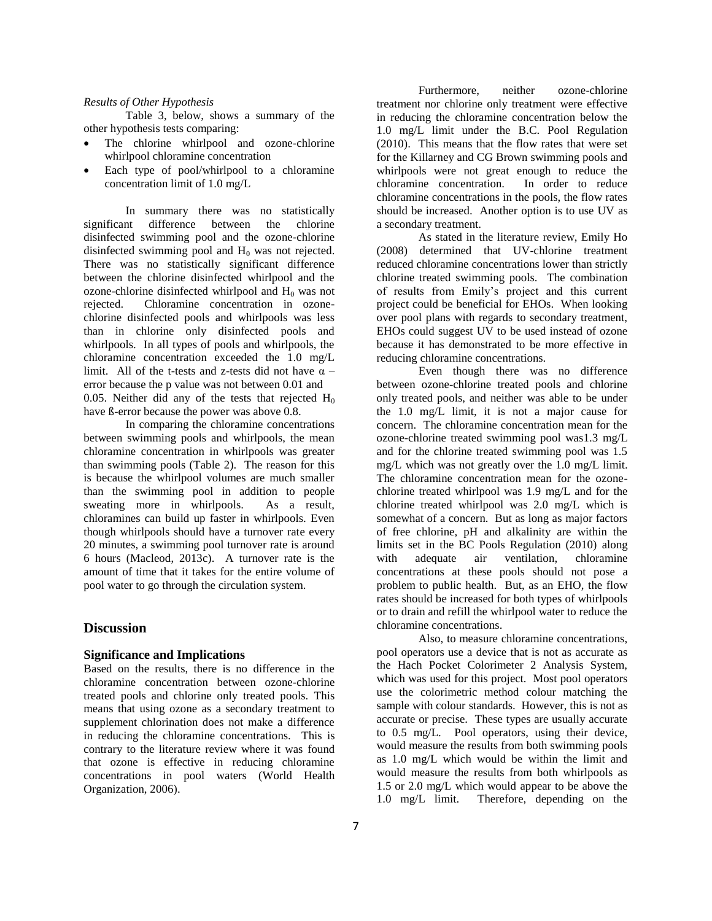#### *Results of Other Hypothesis*

Table 3, below, shows a summary of the other hypothesis tests comparing:

- The chlorine whirlpool and ozone-chlorine whirlpool chloramine concentration
- Each type of pool/whirlpool to a chloramine concentration limit of 1.0 mg/L

In summary there was no statistically significant difference between the chlorine disinfected swimming pool and the ozone-chlorine disinfected swimming pool and  $H_0$  was not rejected. There was no statistically significant difference between the chlorine disinfected whirlpool and the ozone-chlorine disinfected whirlpool and  $H_0$  was not rejected. Chloramine concentration in ozonechlorine disinfected pools and whirlpools was less than in chlorine only disinfected pools and whirlpools. In all types of pools and whirlpools, the chloramine concentration exceeded the 1.0 mg/L limit. All of the t-tests and z-tests did not have  $\alpha$  – error because the p value was not between 0.01 and 0.05. Neither did any of the tests that rejected  $H_0$ have ß-error because the power was above 0.8.

In comparing the chloramine concentrations between swimming pools and whirlpools, the mean chloramine concentration in whirlpools was greater than swimming pools (Table 2). The reason for this is because the whirlpool volumes are much smaller than the swimming pool in addition to people sweating more in whirlpools. As a result, chloramines can build up faster in whirlpools. Even though whirlpools should have a turnover rate every 20 minutes, a swimming pool turnover rate is around 6 hours (Macleod, 2013c). A turnover rate is the amount of time that it takes for the entire volume of pool water to go through the circulation system.

# **Discussion**

#### **Significance and Implications**

Based on the results, there is no difference in the chloramine concentration between ozone-chlorine treated pools and chlorine only treated pools. This means that using ozone as a secondary treatment to supplement chlorination does not make a difference in reducing the chloramine concentrations. This is contrary to the literature review where it was found that ozone is effective in reducing chloramine concentrations in pool waters (World Health Organization, 2006).

Furthermore, neither ozone-chlorine treatment nor chlorine only treatment were effective in reducing the chloramine concentration below the 1.0 mg/L limit under the B.C. Pool Regulation (2010). This means that the flow rates that were set for the Killarney and CG Brown swimming pools and whirlpools were not great enough to reduce the chloramine concentration. In order to reduce chloramine concentrations in the pools, the flow rates should be increased. Another option is to use UV as a secondary treatment.

As stated in the literature review, Emily Ho (2008) determined that UV-chlorine treatment reduced chloramine concentrations lower than strictly chlorine treated swimming pools. The combination of results from Emily's project and this current project could be beneficial for EHOs. When looking over pool plans with regards to secondary treatment, EHOs could suggest UV to be used instead of ozone because it has demonstrated to be more effective in reducing chloramine concentrations.

Even though there was no difference between ozone-chlorine treated pools and chlorine only treated pools, and neither was able to be under the 1.0 mg/L limit, it is not a major cause for concern. The chloramine concentration mean for the ozone-chlorine treated swimming pool was1.3 mg/L and for the chlorine treated swimming pool was 1.5 mg/L which was not greatly over the 1.0 mg/L limit. The chloramine concentration mean for the ozonechlorine treated whirlpool was 1.9 mg/L and for the chlorine treated whirlpool was 2.0 mg/L which is somewhat of a concern. But as long as major factors of free chlorine, pH and alkalinity are within the limits set in the BC Pools Regulation (2010) along with adequate air ventilation, chloramine concentrations at these pools should not pose a problem to public health. But, as an EHO, the flow rates should be increased for both types of whirlpools or to drain and refill the whirlpool water to reduce the chloramine concentrations.

Also, to measure chloramine concentrations, pool operators use a device that is not as accurate as the Hach Pocket Colorimeter 2 Analysis System, which was used for this project. Most pool operators use the colorimetric method colour matching the sample with colour standards. However, this is not as accurate or precise. These types are usually accurate to 0.5 mg/L. Pool operators, using their device, would measure the results from both swimming pools as 1.0 mg/L which would be within the limit and would measure the results from both whirlpools as 1.5 or 2.0 mg/L which would appear to be above the 1.0 mg/L limit. Therefore, depending on the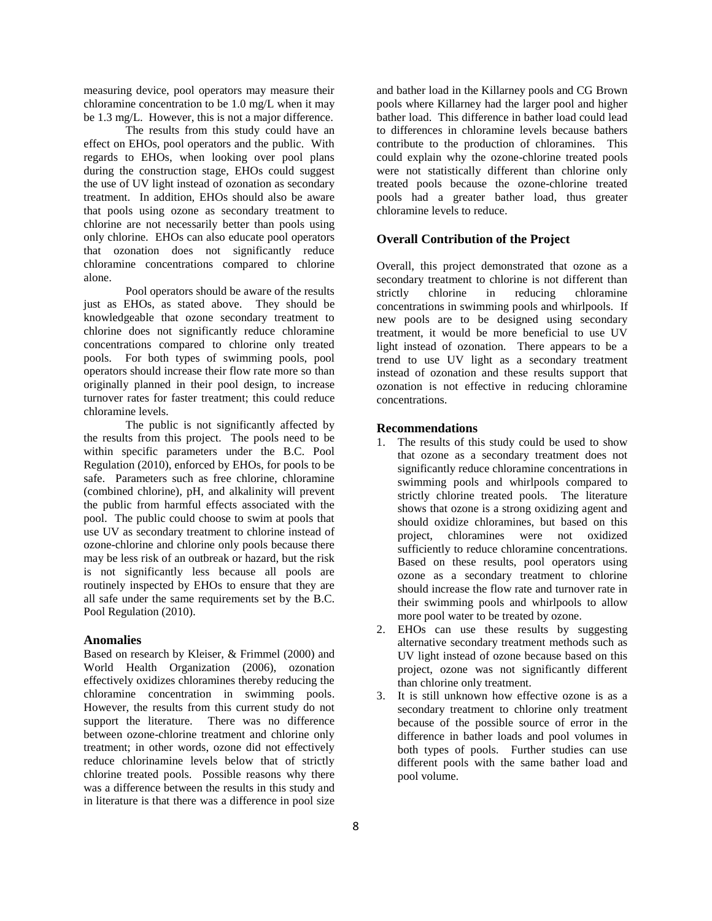measuring device, pool operators may measure their chloramine concentration to be 1.0 mg/L when it may be 1.3 mg/L. However, this is not a major difference.

The results from this study could have an effect on EHOs, pool operators and the public. With regards to EHOs, when looking over pool plans during the construction stage, EHOs could suggest the use of UV light instead of ozonation as secondary treatment. In addition, EHOs should also be aware that pools using ozone as secondary treatment to chlorine are not necessarily better than pools using only chlorine. EHOs can also educate pool operators that ozonation does not significantly reduce chloramine concentrations compared to chlorine alone.

Pool operators should be aware of the results just as EHOs, as stated above. They should be knowledgeable that ozone secondary treatment to chlorine does not significantly reduce chloramine concentrations compared to chlorine only treated pools. For both types of swimming pools, pool operators should increase their flow rate more so than originally planned in their pool design, to increase turnover rates for faster treatment; this could reduce chloramine levels.

The public is not significantly affected by the results from this project. The pools need to be within specific parameters under the B.C. Pool Regulation (2010), enforced by EHOs, for pools to be safe. Parameters such as free chlorine, chloramine (combined chlorine), pH, and alkalinity will prevent the public from harmful effects associated with the pool. The public could choose to swim at pools that use UV as secondary treatment to chlorine instead of ozone-chlorine and chlorine only pools because there may be less risk of an outbreak or hazard, but the risk is not significantly less because all pools are routinely inspected by EHOs to ensure that they are all safe under the same requirements set by the B.C. Pool Regulation (2010).

#### **Anomalies**

Based on research by Kleiser, & Frimmel (2000) and World Health Organization (2006), ozonation effectively oxidizes chloramines thereby reducing the chloramine concentration in swimming pools. However, the results from this current study do not support the literature. There was no difference between ozone-chlorine treatment and chlorine only treatment; in other words, ozone did not effectively reduce chlorinamine levels below that of strictly chlorine treated pools. Possible reasons why there was a difference between the results in this study and in literature is that there was a difference in pool size

and bather load in the Killarney pools and CG Brown pools where Killarney had the larger pool and higher bather load. This difference in bather load could lead to differences in chloramine levels because bathers contribute to the production of chloramines. This could explain why the ozone-chlorine treated pools were not statistically different than chlorine only treated pools because the ozone-chlorine treated pools had a greater bather load, thus greater chloramine levels to reduce.

#### **Overall Contribution of the Project**

Overall, this project demonstrated that ozone as a secondary treatment to chlorine is not different than strictly chlorine in reducing chloramine concentrations in swimming pools and whirlpools. If new pools are to be designed using secondary treatment, it would be more beneficial to use UV light instead of ozonation. There appears to be a trend to use UV light as a secondary treatment instead of ozonation and these results support that ozonation is not effective in reducing chloramine concentrations.

# **Recommendations**

- 1. The results of this study could be used to show that ozone as a secondary treatment does not significantly reduce chloramine concentrations in swimming pools and whirlpools compared to strictly chlorine treated pools. The literature shows that ozone is a strong oxidizing agent and should oxidize chloramines, but based on this project, chloramines were not oxidized sufficiently to reduce chloramine concentrations. Based on these results, pool operators using ozone as a secondary treatment to chlorine should increase the flow rate and turnover rate in their swimming pools and whirlpools to allow more pool water to be treated by ozone.
- 2. EHOs can use these results by suggesting alternative secondary treatment methods such as UV light instead of ozone because based on this project, ozone was not significantly different than chlorine only treatment.
- 3. It is still unknown how effective ozone is as a secondary treatment to chlorine only treatment because of the possible source of error in the difference in bather loads and pool volumes in both types of pools. Further studies can use different pools with the same bather load and pool volume.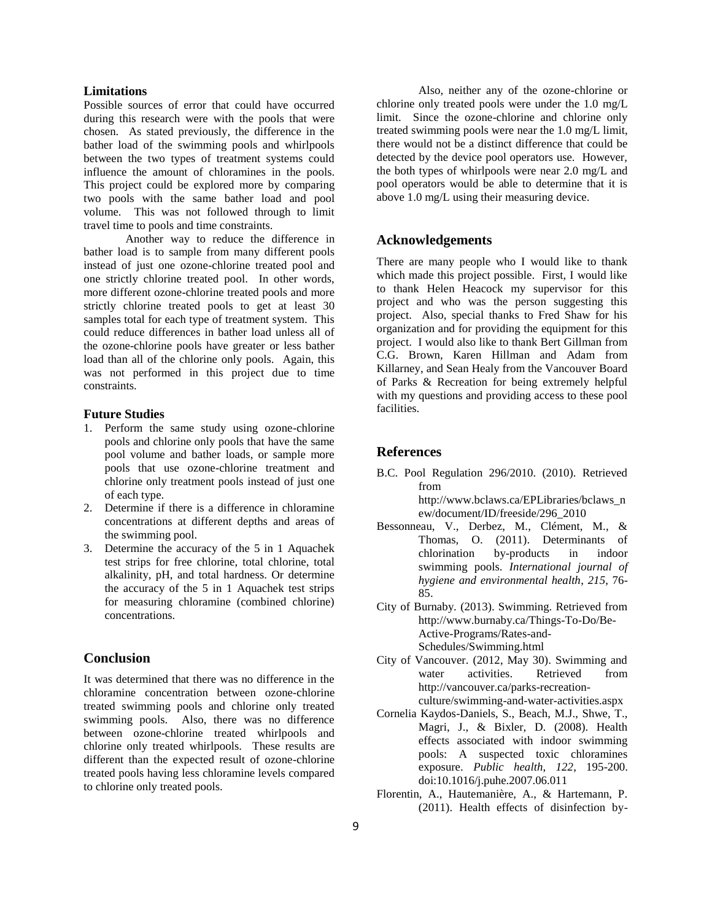### **Limitations**

Possible sources of error that could have occurred during this research were with the pools that were chosen. As stated previously, the difference in the bather load of the swimming pools and whirlpools between the two types of treatment systems could influence the amount of chloramines in the pools. This project could be explored more by comparing two pools with the same bather load and pool volume. This was not followed through to limit travel time to pools and time constraints.

Another way to reduce the difference in bather load is to sample from many different pools instead of just one ozone-chlorine treated pool and one strictly chlorine treated pool. In other words, more different ozone-chlorine treated pools and more strictly chlorine treated pools to get at least 30 samples total for each type of treatment system. This could reduce differences in bather load unless all of the ozone-chlorine pools have greater or less bather load than all of the chlorine only pools. Again, this was not performed in this project due to time constraints.

# **Future Studies**

- 1. Perform the same study using ozone-chlorine pools and chlorine only pools that have the same pool volume and bather loads, or sample more pools that use ozone-chlorine treatment and chlorine only treatment pools instead of just one of each type.
- 2. Determine if there is a difference in chloramine concentrations at different depths and areas of the swimming pool.
- 3. Determine the accuracy of the 5 in 1 Aquachek test strips for free chlorine, total chlorine, total alkalinity, pH, and total hardness. Or determine the accuracy of the 5 in 1 Aquachek test strips for measuring chloramine (combined chlorine) concentrations.

# **Conclusion**

It was determined that there was no difference in the chloramine concentration between ozone-chlorine treated swimming pools and chlorine only treated swimming pools. Also, there was no difference between ozone-chlorine treated whirlpools and chlorine only treated whirlpools. These results are different than the expected result of ozone-chlorine treated pools having less chloramine levels compared to chlorine only treated pools.

Also, neither any of the ozone-chlorine or chlorine only treated pools were under the 1.0 mg/L limit. Since the ozone-chlorine and chlorine only treated swimming pools were near the 1.0 mg/L limit, there would not be a distinct difference that could be detected by the device pool operators use. However, the both types of whirlpools were near 2.0 mg/L and pool operators would be able to determine that it is above 1.0 mg/L using their measuring device.

# **Acknowledgements**

There are many people who I would like to thank which made this project possible. First, I would like to thank Helen Heacock my supervisor for this project and who was the person suggesting this project. Also, special thanks to Fred Shaw for his organization and for providing the equipment for this project. I would also like to thank Bert Gillman from C.G. Brown, Karen Hillman and Adam from Killarney, and Sean Healy from the Vancouver Board of Parks & Recreation for being extremely helpful with my questions and providing access to these pool facilities.

# **References**

B.C. Pool Regulation 296/2010. (2010). Retrieved from

http://www.bclaws.ca/EPLibraries/bclaws\_n ew/document/ID/freeside/296\_2010

- Bessonneau, V., Derbez, M., Clément, M., & Thomas, O. (2011). Determinants of chlorination by-products in indoor swimming pools. *International journal of hygiene and environmental health*, *215*, 76- 85.
- City of Burnaby. (2013). Swimming. Retrieved from http://www.burnaby.ca/Things-To-Do/Be-Active-Programs/Rates-and-Schedules/Swimming.html
- City of Vancouver. (2012, May 30). Swimming and water activities. Retrieved from http://vancouver.ca/parks-recreationculture/swimming-and-water-activities.aspx
- Cornelia Kaydos-Daniels, S., Beach, M.J., Shwe, T., Magri, J., & Bixler, D. (2008). Health effects associated with indoor swimming pools: A suspected toxic chloramines exposure. *Public health*, *122*, 195-200. doi:10.1016/j.puhe.2007.06.011
- Florentin, A., Hautemanière, A., & Hartemann, P. (2011). Health effects of disinfection by-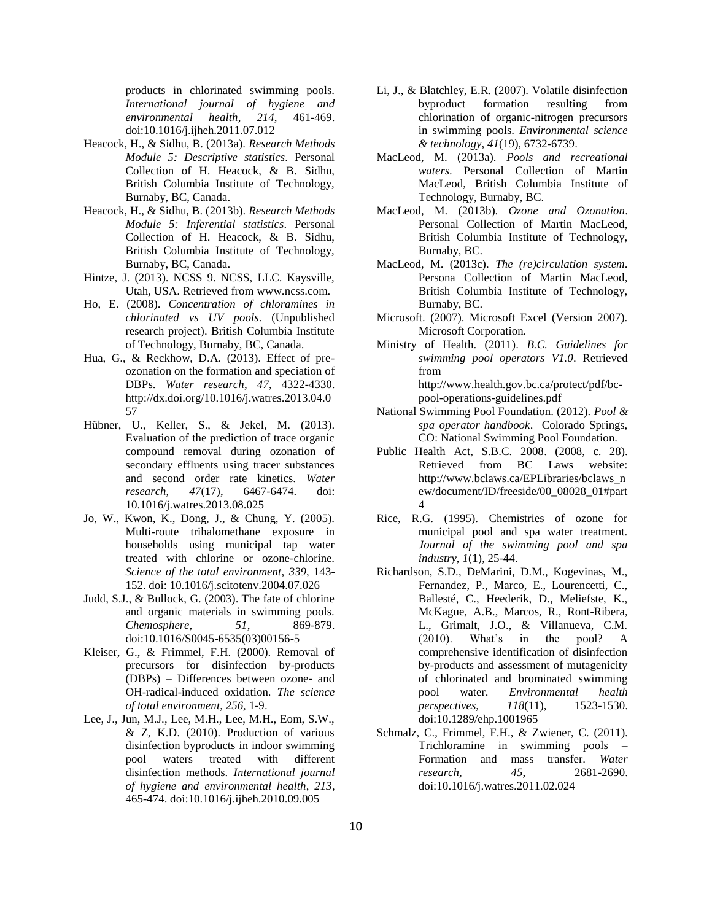products in chlorinated swimming pools. *International journal of hygiene and environmental health*, *214*, 461-469. doi:10.1016/j.ijheh.2011.07.012

- Heacock, H., & Sidhu, B. (2013a). *Research Methods Module 5: Descriptive statistics*. Personal Collection of H. Heacock, & B. Sidhu, British Columbia Institute of Technology, Burnaby, BC, Canada.
- Heacock, H., & Sidhu, B. (2013b). *Research Methods Module 5: Inferential statistics*. Personal Collection of H. Heacock, & B. Sidhu, British Columbia Institute of Technology, Burnaby, BC, Canada.
- Hintze, J. (2013). NCSS 9. NCSS, LLC. Kaysville, Utah, USA. Retrieved from www.ncss.com.
- Ho, E. (2008). *Concentration of chloramines in chlorinated vs UV pools*. (Unpublished research project). British Columbia Institute of Technology, Burnaby, BC, Canada.
- Hua, G., & Reckhow, D.A. (2013). Effect of preozonation on the formation and speciation of DBPs. *Water research*, *47*, 4322-4330. http://dx.doi.org/10.1016/j.watres.2013.04.0 57
- Hübner, U., Keller, S., & Jekel, M. (2013). Evaluation of the prediction of trace organic compound removal during ozonation of secondary effluents using tracer substances and second order rate kinetics. *Water research*, *47*(17), 6467-6474. doi: 10.1016/j.watres.2013.08.025
- Jo, W., Kwon, K., Dong, J., & Chung, Y. (2005). Multi-route trihalomethane exposure in households using municipal tap water treated with chlorine or ozone-chlorine. *Science of the total environment*, *339*, 143- 152. doi: 10.1016/j.scitotenv.2004.07.026
- Judd, S.J., & Bullock, G. (2003). The fate of chlorine and organic materials in swimming pools. *Chemosphere*, *51*, 869-879. doi:10.1016/S0045-6535(03)00156-5
- Kleiser, G., & Frimmel, F.H. (2000). Removal of precursors for disinfection by-products (DBPs) – Differences between ozone- and OH-radical-induced oxidation. *The science of total environment*, *256*, 1-9.
- Lee, J., Jun, M.J., Lee, M.H., Lee, M.H., Eom, S.W., & Z, K.D. (2010). Production of various disinfection byproducts in indoor swimming pool waters treated with different disinfection methods. *International journal of hygiene and environmental health*, *213*, 465-474. doi:10.1016/j.ijheh.2010.09.005
- Li, J., & Blatchley, E.R. (2007). Volatile disinfection byproduct formation resulting from chlorination of organic-nitrogen precursors in swimming pools. *Environmental science & technology*, *41*(19), 6732-6739.
- MacLeod, M. (2013a). *Pools and recreational waters*. Personal Collection of Martin MacLeod, British Columbia Institute of Technology, Burnaby, BC.
- MacLeod, M. (2013b). *Ozone and Ozonation*. Personal Collection of Martin MacLeod, British Columbia Institute of Technology, Burnaby, BC.
- MacLeod, M. (2013c). *The (re)circulation system*. Persona Collection of Martin MacLeod, British Columbia Institute of Technology, Burnaby, BC.
- Microsoft. (2007). Microsoft Excel (Version 2007). Microsoft Corporation.
- Ministry of Health. (2011). *B.C. Guidelines for swimming pool operators V1.0*. Retrieved from http://www.health.gov.bc.ca/protect/pdf/bcpool-operations-guidelines.pdf
- National Swimming Pool Foundation. (2012). *Pool & spa operator handbook*. Colorado Springs, CO: National Swimming Pool Foundation.
- Public Health Act, S.B.C. 2008. (2008, c. 28). Retrieved from BC Laws website: http://www.bclaws.ca/EPLibraries/bclaws\_n ew/document/ID/freeside/00\_08028\_01#part 4
- Rice, R.G. (1995). Chemistries of ozone for municipal pool and spa water treatment. *Journal of the swimming pool and spa industry*, *1*(1), 25-44.
- Richardson, S.D., DeMarini, D.M., Kogevinas, M., Fernandez, P., Marco, E., Lourencetti, C., Ballesté, C., Heederik, D., Meliefste, K., McKague, A.B., Marcos, R., Ront-Ribera, L., Grimalt, J.O., & Villanueva, C.M. (2010). What's in the pool? A comprehensive identification of disinfection by-products and assessment of mutagenicity of chlorinated and brominated swimming pool water. *Environmental health perspectives*, *118*(11), 1523-1530. doi:10.1289/ehp.1001965
- Schmalz, C., Frimmel, F.H., & Zwiener, C. (2011). Trichloramine in swimming pools – Formation and mass transfer. *Water research*, *45*, 2681-2690. doi:10.1016/j.watres.2011.02.024